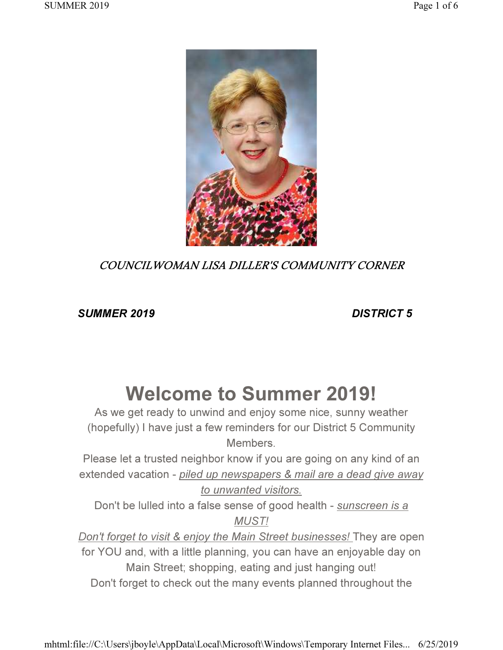

## COUNCILWOMAN LISA DILLER'S COMMUNITY CORNER

SUMMER 2019 DISTRICT 5

# Welcome to Summer 2019!

As we get ready to unwind and enjoy some nice, sunny weather (hopefully) I have just a few reminders for our District 5 Community Members.

Please let a trusted neighbor know if you are going on any kind of an extended vacation - piled up newspapers & mail are a dead give away to unwanted visitors.

Don't be lulled into a false sense of good health - sunscreen is a MUST!

Don't forget to visit & enjoy the Main Street businesses! They are open for YOU and, with a little planning, you can have an enjoyable day on Main Street; shopping, eating and just hanging out! Don't forget to check out the many events planned throughout the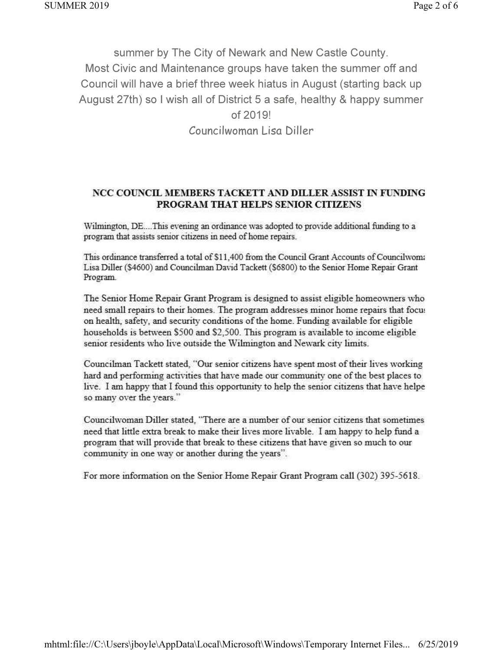summer by The City of Newark and New Castle County. Most Civic and Maintenance groups have taken the summer off and Council will have a brief three week hiatus in August (starting back up August 27th) so I wish all of District 5 a safe, healthy & happy summer of 2019! Councilwoman Lisa Diller

#### NCC COUNCIL MEMBERS TACKETT AND DILLER ASSIST IN FUNDING PROGRAM THAT HELPS SENIOR CITIZENS

Wilmington, DE....This evening an ordinance was adopted to provide additional funding to a program that assists senior citizens in need of home repairs.

This ordinance transferred a total of \$11,400 from the Council Grant Accounts of Councilwom: Lisa Diller (\$4600) and Councilman David Tackett (\$6800) to the Senior Home Repair Grant Program.

The Senior Home Repair Grant Program is designed to assist eligible homeowners who need small repairs to their homes. The program addresses minor home repairs that focus on health, safety, and security conditions of the home. Funding available for eligible households is between \$500 and \$2,500. This program is available to income eligible senior residents who live outside the Wilmington and Newark city limits.

Councilman Tackett stated, "Our senior citizens have spent most of their lives working hard and performing activities that have made our community one of the best places to live. I am happy that I found this opportunity to help the senior citizens that have helpe so many over the years."

Councilwoman Diller stated, "There are a number of our senior citizens that sometimes need that little extra break to make their lives more livable. I am happy to help fund a program that will provide that break to these citizens that have given so much to our community in one way or another during the years".

For more information on the Senior Home Repair Grant Program call (302) 395-5618.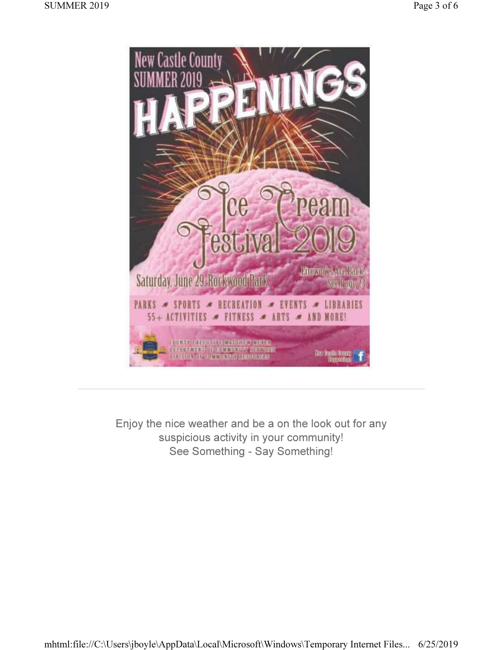

Enjoy the nice weather and be a on the look out for any suspicious activity in your community! See Something - Say Something!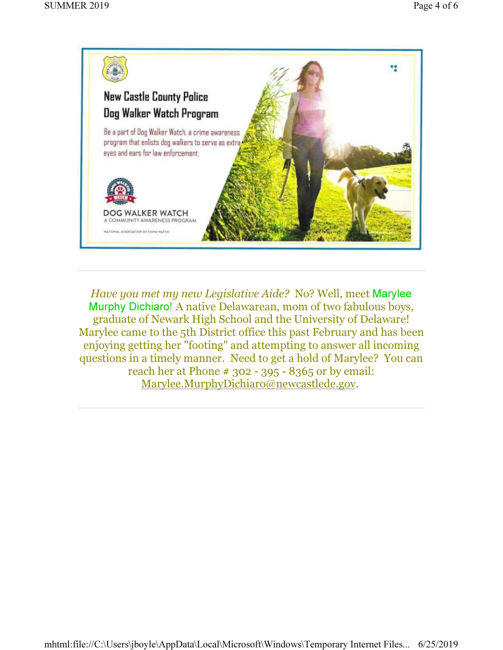

Have you met my new Legislative Aide? No? Well, meet Marylee Murphy Dichiaro! A native Delawarean, mom of two fabulous boys, graduate of Newark High School and the University of Delaware! Marylee came to the 5th District office this past February and has been enjoying getting her "footing" and attempting to answer all incoming questions in a timely manner. Need to get a hold of Marylee? You can reach her at Phone # 302 - 395 - 8365 or by email: Marylee.MurphyDichiaro@newcastlede.gov.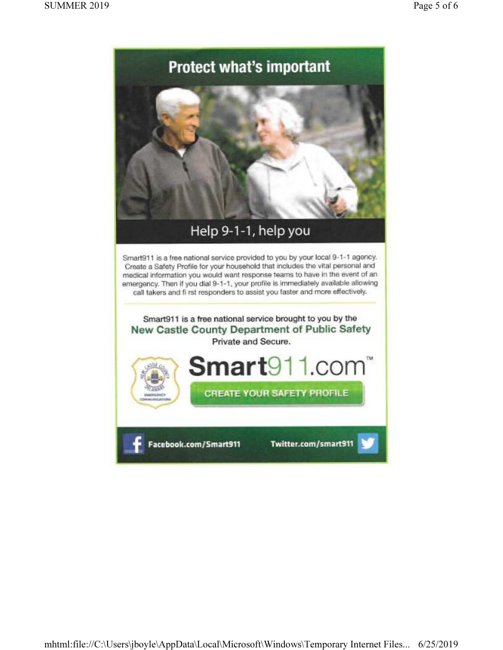